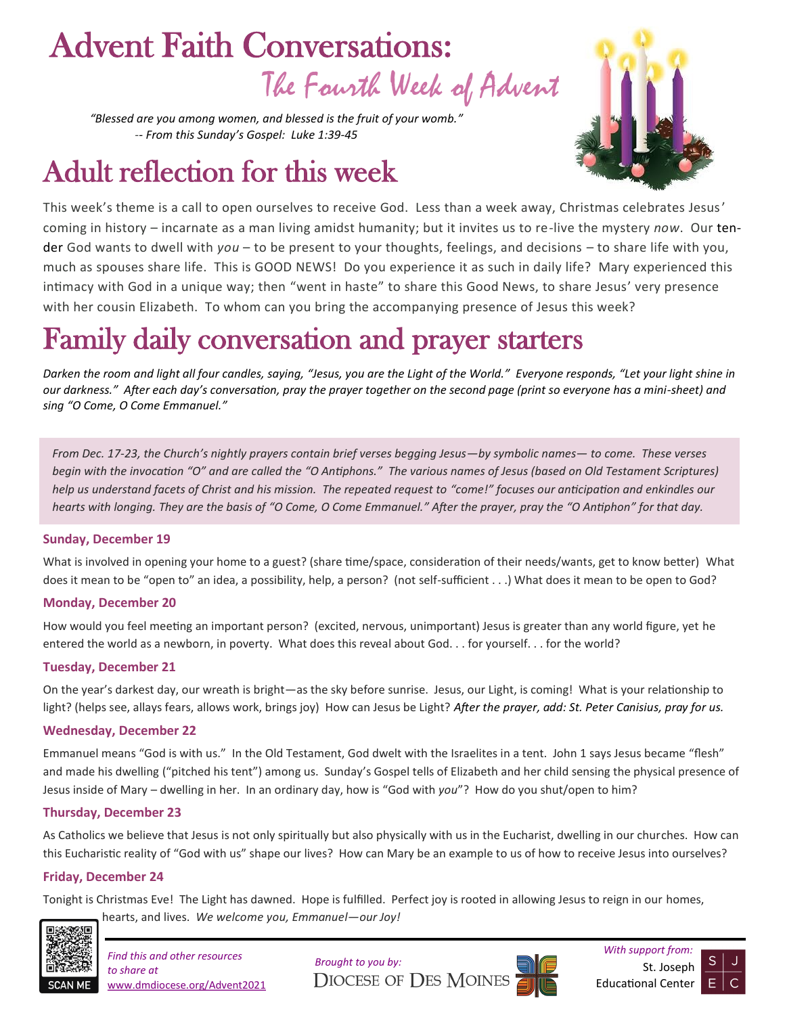# The Fourth Week of Advent Advent Faith Conversations:

*"Blessed are you among women, and blessed is the fruit of your womb." -- From this Sunday's Gospel: Luke 1:39-45*

## Adult reflection for this week



This week's theme is a call to open ourselves to receive God. Less than a week away, Christmas celebrates Jesus' coming in history – incarnate as a man living amidst humanity; but it invites us to re-live the mystery *now*. Our tender God wants to dwell with *you* – to be present to your thoughts, feelings, and decisions – to share life with you, much as spouses share life. This is GOOD NEWS! Do you experience it as such in daily life? Mary experienced this intimacy with God in a unique way; then "went in haste" to share this Good News, to share Jesus' very presence with her cousin Elizabeth. To whom can you bring the accompanying presence of Jesus this week?

## Family daily conversation and prayer starters

*Darken the room and light all four candles, saying, "Jesus, you are the Light of the World." Everyone responds, "Let your light shine in our darkness." After each day's conversation, pray the prayer together on the second page (print so everyone has a mini-sheet) and sing "O Come, O Come Emmanuel."* 

*From Dec. 17-23, the Church's nightly prayers contain brief verses begging Jesus—by symbolic names— to come. These verses begin with the invocation "O" and are called the "O Antiphons." The various names of Jesus (based on Old Testament Scriptures)*  help us understand facets of Christ and his mission. The repeated request to "come!" focuses our anticipation and enkindles our *hearts with longing. They are the basis of "O Come, O Come Emmanuel." After the prayer, pray the "O Antiphon" for that day.*

#### **Sunday, December 19**

What is involved in opening your home to a guest? (share time/space, consideration of their needs/wants, get to know better) What does it mean to be "open to" an idea, a possibility, help, a person? (not self-sufficient . . .) What does it mean to be open to God?

#### **Monday, December 20**

How would you feel meeting an important person? (excited, nervous, unimportant) Jesus is greater than any world figure, yet he entered the world as a newborn, in poverty. What does this reveal about God. . . for yourself. . . for the world?

#### **Tuesday, December 21**

On the year's darkest day, our wreath is bright—as the sky before sunrise. Jesus, our Light, is coming! What is your relationship to light? (helps see, allays fears, allows work, brings joy) How can Jesus be Light? *After the prayer, add: St. Peter Canisius, pray for us.*

#### **Wednesday, December 22**

Emmanuel means "God is with us." In the Old Testament, God dwelt with the Israelites in a tent. John 1 says Jesus became "flesh" and made his dwelling ("pitched his tent") among us. Sunday's Gospel tells of Elizabeth and her child sensing the physical presence of Jesus inside of Mary – dwelling in her. In an ordinary day, how is "God with *you*"? How do you shut/open to him?

#### **Thursday, December 23**

As Catholics we believe that Jesus is not only spiritually but also physically with us in the Eucharist, dwelling in our churches. How can this Eucharistic reality of "God with us" shape our lives? How can Mary be an example to us of how to receive Jesus into ourselves?

#### **Friday, December 24**

Tonight is Christmas Eve! The Light has dawned. Hope is fulfilled. Perfect joy is rooted in allowing Jesus to reign in our homes, hearts, and lives. *We welcome you, Emmanuel—our Joy!* 



*to share at*  www.dmdiocese.org/Advent2021





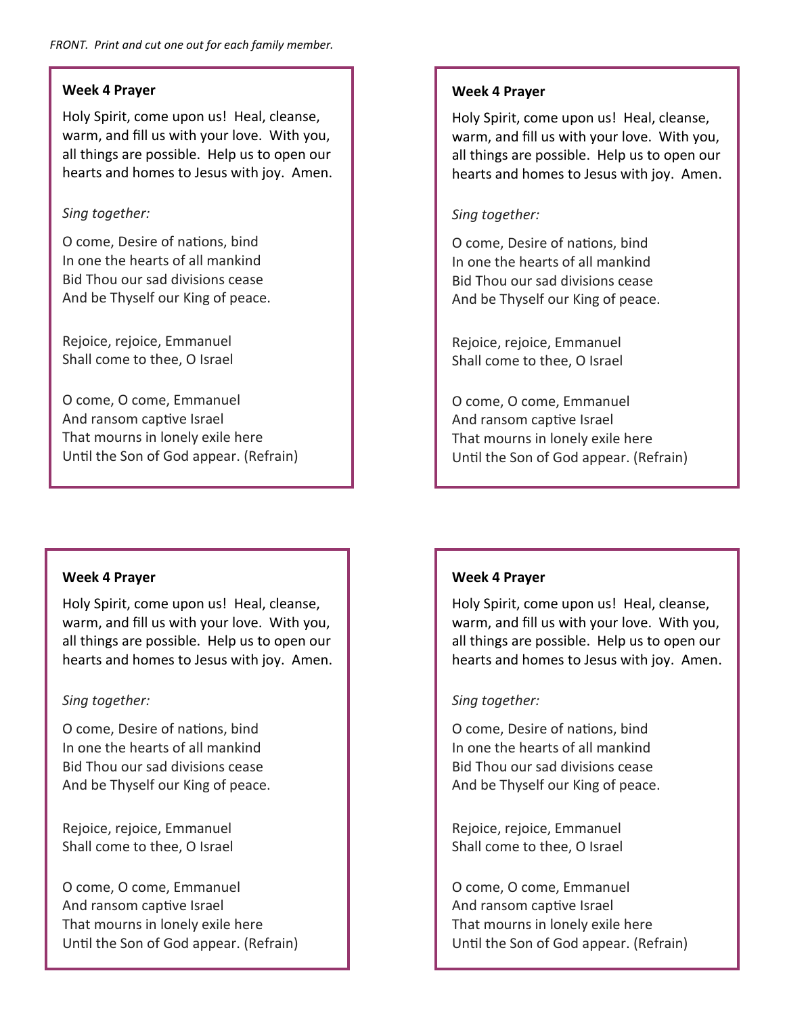#### **Week 4 Prayer**

Holy Spirit, come upon us! Heal, cleanse, warm, and fill us with your love. With you, all things are possible. Help us to open our hearts and homes to Jesus with joy. Amen.

#### *Sing together:*

O come, Desire of nations, bind In one the hearts of all mankind Bid Thou our sad divisions cease And be Thyself our King of peace.

Rejoice, rejoice, Emmanuel Shall come to thee, O Israel

O come, O come, Emmanuel And ransom captive Israel That mourns in lonely exile here Until the Son of God appear. (Refrain)

#### **Week 4 Prayer**

Holy Spirit, come upon us! Heal, cleanse, warm, and fill us with your love. With you, all things are possible. Help us to open our hearts and homes to Jesus with joy. Amen.

#### *Sing together:*

O come, Desire of nations, bind In one the hearts of all mankind Bid Thou our sad divisions cease And be Thyself our King of peace.

Rejoice, rejoice, Emmanuel Shall come to thee, O Israel

O come, O come, Emmanuel And ransom captive Israel That mourns in lonely exile here Until the Son of God appear. (Refrain)

#### **Week 4 Prayer**

Holy Spirit, come upon us! Heal, cleanse, warm, and fill us with your love. With you, all things are possible. Help us to open our hearts and homes to Jesus with joy. Amen.

#### *Sing together:*

O come, Desire of nations, bind In one the hearts of all mankind Bid Thou our sad divisions cease And be Thyself our King of peace.

Rejoice, rejoice, Emmanuel Shall come to thee, O Israel

O come, O come, Emmanuel And ransom captive Israel That mourns in lonely exile here Until the Son of God appear. (Refrain)

#### **Week 4 Prayer**

Holy Spirit, come upon us! Heal, cleanse, warm, and fill us with your love. With you, all things are possible. Help us to open our hearts and homes to Jesus with joy. Amen.

#### *Sing together:*

O come, Desire of nations, bind In one the hearts of all mankind Bid Thou our sad divisions cease And be Thyself our King of peace.

Rejoice, rejoice, Emmanuel Shall come to thee, O Israel

O come, O come, Emmanuel And ransom captive Israel That mourns in lonely exile here Until the Son of God appear. (Refrain)